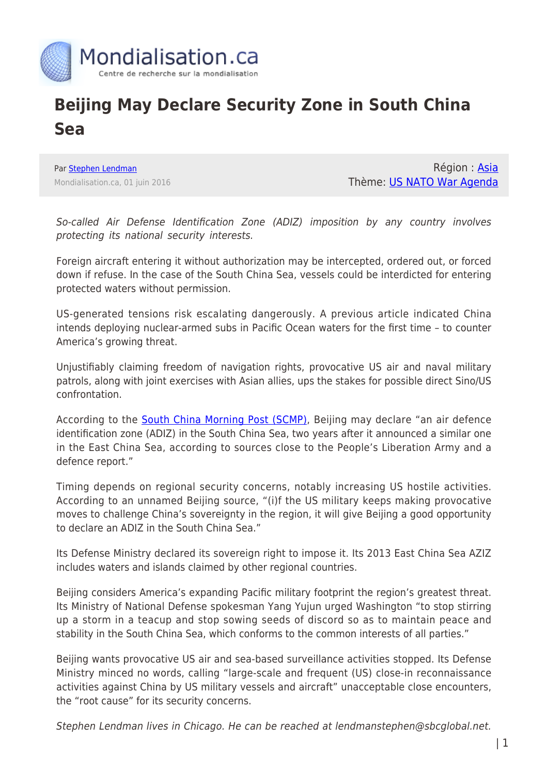

## **Beijing May Declare Security Zone in South China Sea**

Par [Stephen Lendman](https://www.mondialisation.ca/author/stephen-lendman) Mondialisation.ca, 01 juin 2016

Région : [Asia](https://www.mondialisation.ca/region/asia) Thème: [US NATO War Agenda](https://www.mondialisation.ca/theme/us-nato-war-agenda)

So-called Air Defense Identification Zone (ADIZ) imposition by any country involves protecting its national security interests.

Foreign aircraft entering it without authorization may be intercepted, ordered out, or forced down if refuse. In the case of the South China Sea, vessels could be interdicted for entering protected waters without permission.

US-generated tensions risk escalating dangerously. A previous article indicated China intends deploying nuclear-armed subs in Pacific Ocean waters for the first time – to counter America's growing threat.

Unjustifiably claiming freedom of navigation rights, provocative US air and naval military patrols, along with joint exercises with Asian allies, ups the stakes for possible direct Sino/US confrontation.

According to the [South China Morning Post \(SCMP\),](http://www.scmp.com/news/china/article/1960954/beijing-ready-impose-air-defence-identification-zone-south-china-sea) Beijing may declare "an air defence identification zone (ADIZ) in the South China Sea, two years after it announced a similar one in the East China Sea, according to sources close to the People's Liberation Army and a defence report."

Timing depends on regional security concerns, notably increasing US hostile activities. According to an unnamed Beijing source, "(i)f the US military keeps making provocative moves to challenge China's sovereignty in the region, it will give Beijing a good opportunity to declare an ADIZ in the South China Sea."

Its Defense Ministry declared its sovereign right to impose it. Its 2013 East China Sea AZIZ includes waters and islands claimed by other regional countries.

Beijing considers America's expanding Pacific military footprint the region's greatest threat. Its Ministry of National Defense spokesman Yang Yujun urged Washington "to stop stirring up a storm in a teacup and stop sowing seeds of discord so as to maintain peace and stability in the South China Sea, which conforms to the common interests of all parties."

Beijing wants provocative US air and sea-based surveillance activities stopped. Its Defense Ministry minced no words, calling "large-scale and frequent (US) close-in reconnaissance activities against China by US military vessels and aircraft" unacceptable close encounters, the "root cause" for its security concerns.

Stephen Lendman lives in Chicago. He can be reached at lendmanstephen@sbcglobal.net.